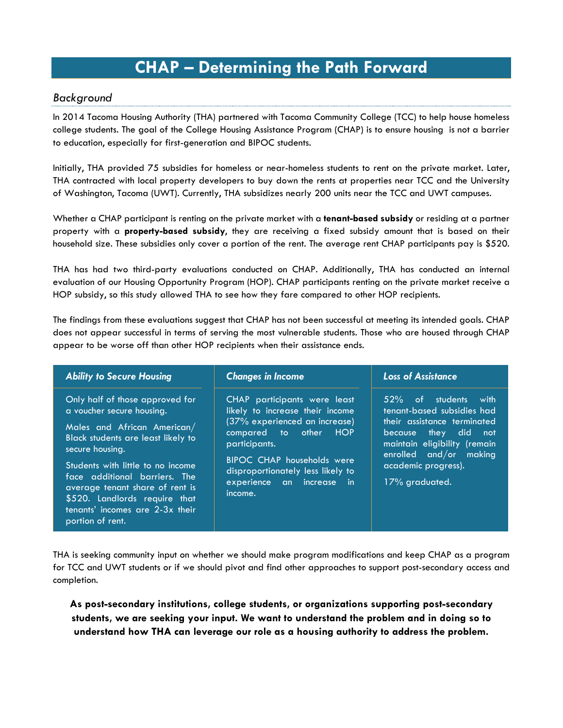## **CHAP – Determining the Path Forward**

## *Background*

In 2014 Tacoma Housing Authority (THA) partnered with Tacoma Community College (TCC) to help house homeless college students. The goal of the College Housing Assistance Program (CHAP) is to ensure housing is not a barrier to education, especially for first-generation and BIPOC students.

Initially, THA provided 75 subsidies for homeless or near-homeless students to rent on the private market. Later, THA contracted with local property developers to buy down the rents at properties near TCC and the University of Washington, Tacoma (UWT). Currently, THA subsidizes nearly 200 units near the TCC and UWT campuses.

Whether a CHAP participant is renting on the private market with a **tenant-based subsidy** or residing at a partner property with a **property-based subsidy**, they are receiving a fixed subsidy amount that is based on their household size. These subsidies only cover a portion of the rent. The average rent CHAP participants pay is \$520.

THA has had two third-party evaluations conducted on CHAP. Additionally, THA has conducted an internal evaluation of our Housing Opportunity Program (HOP). CHAP participants renting on the private market receive a HOP subsidy, so this study allowed THA to see how they fare compared to other HOP recipients.

The findings from these evaluations suggest that CHAP has not been successful at meeting its intended goals. CHAP does not appear successful in terms of serving the most vulnerable students. Those who are housed through CHAP appear to be worse off than other HOP recipients when their assistance ends.

| <b>Ability to Secure Housing</b>                                                                                                                                                                                                                                                                                                                      | <b>Changes in Income</b>                                                                                                                                                                                                                              | <b>Loss of Assistance</b>                                                                                                                                                                                       |  |  |
|-------------------------------------------------------------------------------------------------------------------------------------------------------------------------------------------------------------------------------------------------------------------------------------------------------------------------------------------------------|-------------------------------------------------------------------------------------------------------------------------------------------------------------------------------------------------------------------------------------------------------|-----------------------------------------------------------------------------------------------------------------------------------------------------------------------------------------------------------------|--|--|
| Only half of those approved for<br>a voucher secure housing.<br>Males and African American/<br>Black students are least likely to<br>secure housing.<br>Students with little to no income<br>face additional barriers. The<br>average tenant share of rent is<br>\$520. Landlords require that<br>tenants' incomes are 2-3x their<br>portion of rent. | CHAP participants were least<br>likely to increase their income<br>(37% experienced an increase)<br>compared to other HOP<br>participants.<br>BIPOC CHAP households were<br>disproportionately less likely to<br>experience an increase in<br>income. | 52% of students with<br>tenant-based subsidies had<br>their assistance terminated<br>because they did<br>not<br>maintain eligibility (remain<br>enrolled and/or making<br>academic progress).<br>17% graduated. |  |  |

THA is seeking community input on whether we should make program modifications and keep CHAP as a program for TCC and UWT students or if we should pivot and find other approaches to support post-secondary access and completion.

**As post-secondary institutions, college students, or organizations supporting post-secondary students, we are seeking your input. We want to understand the problem and in doing so to understand how THA can leverage our role as a housing authority to address the problem.**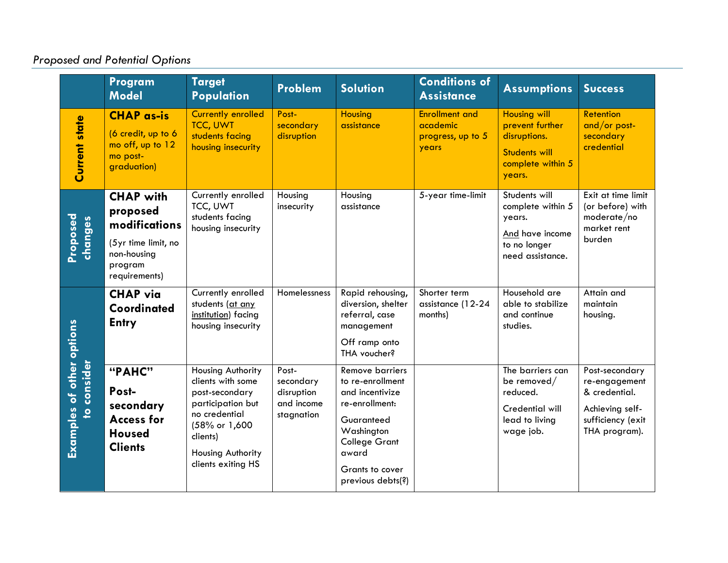## *Proposed and Potential Options*

|                                                                  | Program<br><b>Model</b>                                                                                         | <b>Target</b><br><b>Population</b>                                                                                                                                     | Problem                                                      | <b>Solution</b>                                                                                                                                                                      | <b>Conditions of</b><br><b>Assistance</b>                       | <b>Assumptions</b>                                                                                            | <b>Success</b>                                                                                            |
|------------------------------------------------------------------|-----------------------------------------------------------------------------------------------------------------|------------------------------------------------------------------------------------------------------------------------------------------------------------------------|--------------------------------------------------------------|--------------------------------------------------------------------------------------------------------------------------------------------------------------------------------------|-----------------------------------------------------------------|---------------------------------------------------------------------------------------------------------------|-----------------------------------------------------------------------------------------------------------|
| <b>Current state</b>                                             | <b>CHAP as-is</b><br>(6 credit, up to 6<br>mo off, up to 12<br>mo post-<br>graduation)                          | <b>Currently enrolled</b><br><b>TCC, UWT</b><br>students facing<br>housing insecurity                                                                                  | Post-<br>secondary<br>disruption                             | <b>Housing</b><br>assistance                                                                                                                                                         | <b>Enrollment and</b><br>academic<br>progress, up to 5<br>years | <b>Housing will</b><br>prevent further<br>disruptions.<br><b>Students will</b><br>complete within 5<br>years. | <b>Retention</b><br>and/or post-<br>secondary<br>credential                                               |
| Proposed<br>changes                                              | <b>CHAP with</b><br>proposed<br>modifications<br>(5yr time limit, no<br>non-housing<br>program<br>requirements) | Currently enrolled<br>TCC, UWT<br>students facing<br>housing insecurity                                                                                                | Housing<br>insecurity                                        | Housing<br>assistance                                                                                                                                                                | 5-year time-limit                                               | Students will<br>complete within 5<br>years.<br>And have income<br>to no longer<br>need assistance.           | Exit at time limit<br>(or before) with<br>moderate/no<br>market rent<br>burden                            |
|                                                                  | <b>CHAP</b> via<br><b>Coordinated</b><br><b>Entry</b>                                                           | Currently enrolled<br>students (at any<br>institution) facing<br>housing insecurity                                                                                    | Homelessness                                                 | Rapid rehousing,<br>diversion, shelter<br>referral, case<br>management<br>Off ramp onto<br>THA voucher?                                                                              | Shorter term<br>assistance (12-24<br>months)                    | Household are<br>able to stabilize<br>and continue<br>studies.                                                | Attain and<br>maintain<br>housing.                                                                        |
| Examples of other options<br>consider<br>$\overline{\mathbf{c}}$ | "PAHC"<br>Post-<br>secondary<br><b>Access for</b><br><b>Housed</b><br><b>Clients</b>                            | Housing Authority<br>clients with some<br>post-secondary<br>participation but<br>no credential<br>(58% or 1,600<br>clients)<br>Housing Authority<br>clients exiting HS | Post-<br>secondary<br>disruption<br>and income<br>stagnation | <b>Remove barriers</b><br>to re-enrollment<br>and incentivize<br>re-enrollment:<br>Guaranteed<br>Washington<br><b>College Grant</b><br>award<br>Grants to cover<br>previous debts(?) |                                                                 | The barriers can<br>be removed/<br>reduced.<br>Credential will<br>lead to living<br>wage job.                 | Post-secondary<br>re-engagement<br>& credential.<br>Achieving self-<br>sufficiency (exit<br>THA program). |